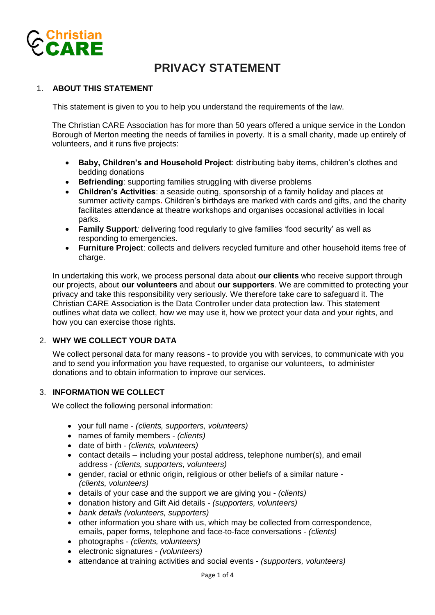

# **PRIVACY STATEMENT**

## 1. **ABOUT THIS STATEMENT**

This statement is given to you to help you understand the requirements of the law.

The Christian CARE Association has for more than 50 years offered a unique service in the London Borough of Merton meeting the needs of families in poverty. It is a small charity, made up entirely of volunteers, and it runs five projects:

- **Baby, Children's and Household Project**: distributing baby items, children's clothes and bedding donations
- **Befriending**: supporting families struggling with diverse problems
- **Children's Activities**: a seaside outing, sponsorship of a family holiday and places at summer activity camps**.** Children's birthdays are marked with cards and gifts, and the charity facilitates attendance at theatre workshops and organises occasional activities in local parks.
- **Family Support***:* delivering food regularly to give families 'food security' as well as responding to emergencies.
- **Furniture Project**: collects and delivers recycled furniture and other household items free of charge.

In undertaking this work, we process personal data about **our clients** who receive support through our projects, about **our volunteers** and about **our supporters**. We are committed to protecting your privacy and take this responsibility very seriously. We therefore take care to safeguard it. The Christian CARE Association is the Data Controller under data protection law. This statement outlines what data we collect, how we may use it, how we protect your data and your rights, and how you can exercise those rights.

## 2. **WHY WE COLLECT YOUR DATA**

We collect personal data for many reasons - to provide you with services, to communicate with you and to send you information you have requested, to organise our volunteers**,** to administer donations and to obtain information to improve our services.

#### 3. **INFORMATION WE COLLECT**

We collect the following personal information:

- your full name *(clients, supporters, volunteers)*
- names of family members *(clients)*
- date of birth *(clients, volunteers)*
- contact details including your postal address, telephone number(s), and email address - *(clients, supporters, volunteers)*
- gender, racial or ethnic origin, religious or other beliefs of a similar nature *(clients, volunteers)*
- details of your case and the support we are giving you *(clients)*
- donation history and Gift Aid details *(supporters, volunteers)*
- *bank details (volunteers, supporters)*
- other information you share with us, which may be collected from correspondence, emails, paper forms, telephone and face-to-face conversations - *(clients)*
- photographs *(clients, volunteers)*
- electronic signatures *(volunteers)*
- attendance at training activities and social events *(supporters, volunteers)*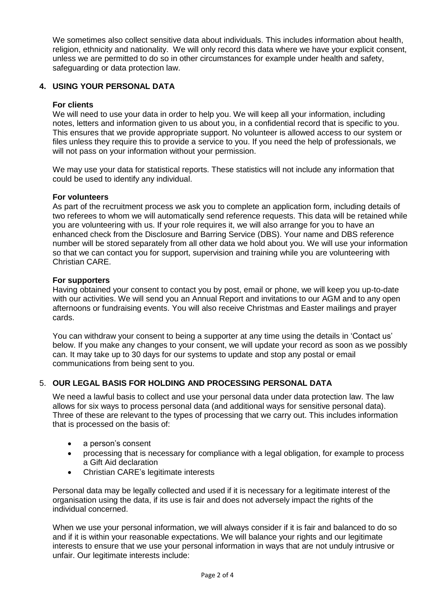We sometimes also collect sensitive data about individuals. This includes information about health, religion, ethnicity and nationality. We will only record this data where we have your explicit consent, unless we are permitted to do so in other circumstances for example under health and safety, safeguarding or data protection law.

## **4. USING YOUR PERSONAL DATA**

#### **For clients**

We will need to use your data in order to help you. We will keep all your information, including notes, letters and information given to us about you, in a confidential record that is specific to you. This ensures that we provide appropriate support. No volunteer is allowed access to our system or files unless they require this to provide a service to you. If you need the help of professionals, we will not pass on your information without your permission.

We may use your data for statistical reports. These statistics will not include any information that could be used to identify any individual.

#### **For volunteers**

As part of the recruitment process we ask you to complete an application form, including details of two referees to whom we will automatically send reference requests. This data will be retained while you are volunteering with us. If your role requires it, we will also arrange for you to have an enhanced check from the Disclosure and Barring Service (DBS). Your name and DBS reference number will be stored separately from all other data we hold about you. We will use your information so that we can contact you for support, supervision and training while you are volunteering with Christian CARE.

#### **For supporters**

Having obtained your consent to contact you by post, email or phone, we will keep you up-to-date with our activities. We will send you an Annual Report and invitations to our AGM and to any open afternoons or fundraising events. You will also receive Christmas and Easter mailings and prayer cards.

You can withdraw your consent to being a supporter at any time using the details in 'Contact us' below. If you make any changes to your consent, we will update your record as soon as we possibly can. It may take up to 30 days for our systems to update and stop any postal or email communications from being sent to you.

## 5. **OUR LEGAL BASIS FOR HOLDING AND PROCESSING PERSONAL DATA**

We need a lawful basis to collect and use your personal data under data protection law. The law allows for six ways to process personal data (and additional ways for sensitive personal data). Three of these are relevant to the types of processing that we carry out. This includes information that is processed on the basis of:

- a person's consent
- processing that is necessary for compliance with a legal obligation, for example to process a Gift Aid declaration
- Christian CARE's legitimate interests

Personal data may be legally collected and used if it is necessary for a legitimate interest of the organisation using the data, if its use is fair and does not adversely impact the rights of the individual concerned.

When we use your personal information, we will always consider if it is fair and balanced to do so and if it is within your reasonable expectations. We will balance your rights and our legitimate interests to ensure that we use your personal information in ways that are not unduly intrusive or unfair. Our legitimate interests include: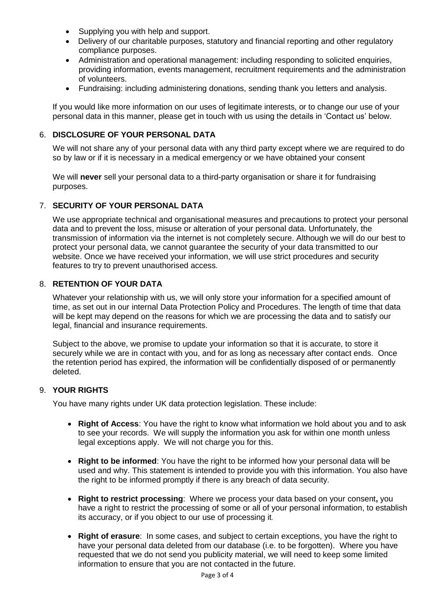- Supplying you with help and support.
- Delivery of our charitable purposes, statutory and financial reporting and other regulatory compliance purposes.
- Administration and operational management: including responding to solicited enquiries, providing information, events management, recruitment requirements and the administration of volunteers.
- Fundraising: including administering donations, sending thank you letters and analysis.

If you would like more information on our uses of legitimate interests, or to change our use of your personal data in this manner, please get in touch with us using the details in 'Contact us' below.

## 6. **DISCLOSURE OF YOUR PERSONAL DATA**

We will not share any of your personal data with any third party except where we are required to do so by law or if it is necessary in a medical emergency or we have obtained your consent

We will **never** sell your personal data to a third-party organisation or share it for fundraising purposes.

## 7. **SECURITY OF YOUR PERSONAL DATA**

We use appropriate technical and organisational measures and precautions to protect your personal data and to prevent the loss, misuse or alteration of your personal data. Unfortunately, the transmission of information via the internet is not completely secure. Although we will do our best to protect your personal data, we cannot guarantee the security of your data transmitted to our website. Once we have received your information, we will use strict procedures and security features to try to prevent unauthorised access.

## 8. **RETENTION OF YOUR DATA**

Whatever your relationship with us, we will only store your information for a specified amount of time, as set out in our internal Data Protection Policy and Procedures. The length of time that data will be kept may depend on the reasons for which we are processing the data and to satisfy our legal, financial and insurance requirements.

Subject to the above, we promise to update your information so that it is accurate, to store it securely while we are in contact with you, and for as long as necessary after contact ends. Once the retention period has expired, the information will be confidentially disposed of or permanently deleted.

## 9. **YOUR RIGHTS**

You have many rights under UK data protection legislation. These include:

- **Right of Access**: You have the right to know what information we hold about you and to ask to see your records. We will supply the information you ask for within one month unless legal exceptions apply. We will not charge you for this.
- **Right to be informed**: You have the right to be informed how your personal data will be used and why. This statement is intended to provide you with this information. You also have the right to be informed promptly if there is any breach of data security.
- **Right to restrict processing**: Where we process your data based on your consent**,** you have a right to restrict the processing of some or all of your personal information, to establish its accuracy, or if you object to our use of processing it*.*
- **Right of erasure**: In some cases, and subject to certain exceptions, you have the right to have your personal data deleted from our database (i.e. to be forgotten). Where you have requested that we do not send you publicity material, we will need to keep some limited information to ensure that you are not contacted in the future.